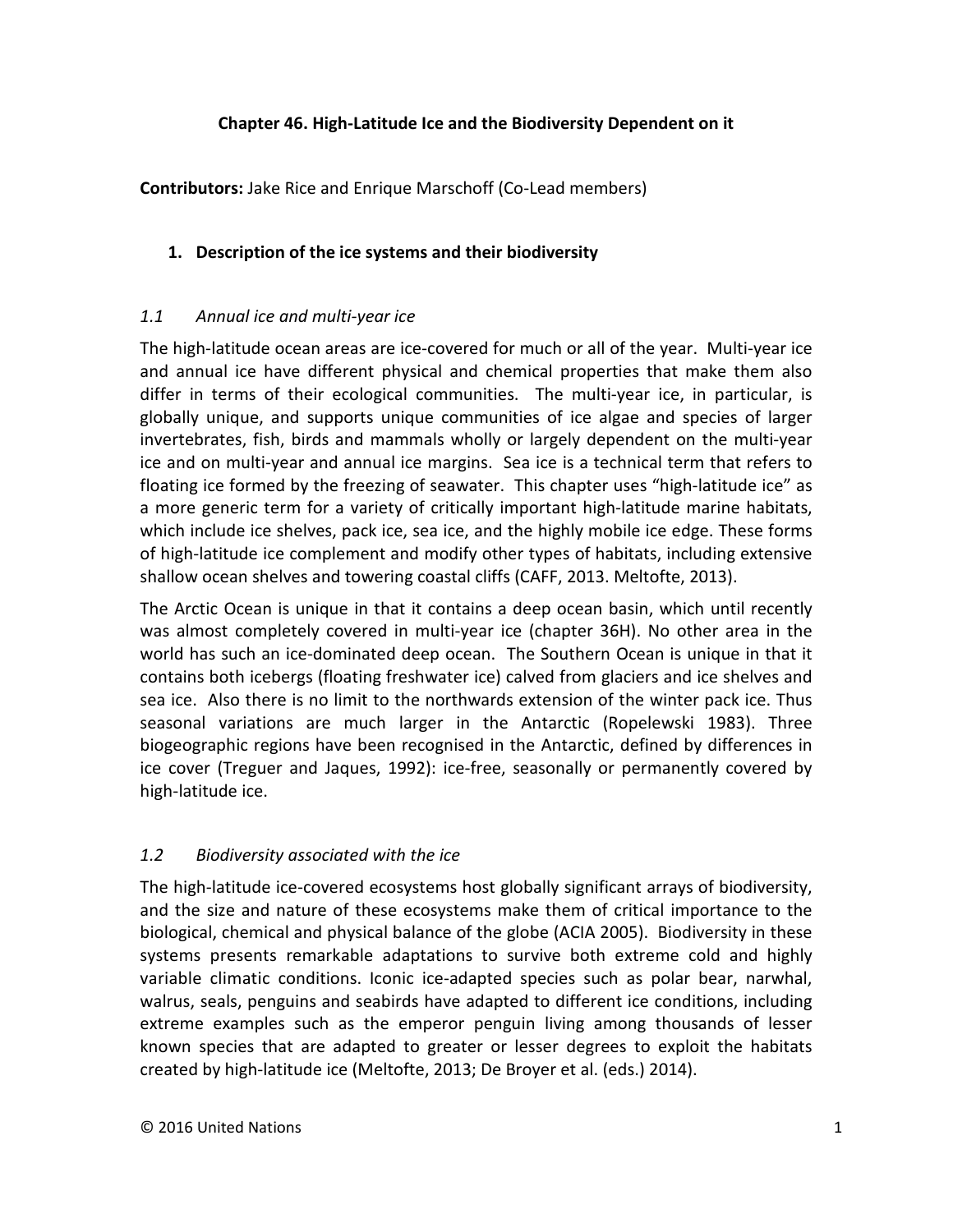### **Chapter 46. High-Latitude Ice and the Biodiversity Dependent on it**

**Contributors:** Jake Rice and Enrique Marschoff (Co-Lead members)

# **1. Description of the ice systems and their biodiversity**

# *1.1 Annual ice and multi-year ice*

The high-latitude ocean areas are ice-covered for much or all of the year. Multi-year ice and annual ice have different physical and chemical properties that make them also differ in terms of their ecological communities. The multi-year ice, in particular, is globally unique, and supports unique communities of ice algae and species of larger invertebrates, fish, birds and mammals wholly or largely dependent on the multi-year ice and on multi-year and annual ice margins. Sea ice is a technical term that refers to floating ice formed by the freezing of seawater. This chapter uses "high-latitude ice" as a more generic term for a variety of critically important high-latitude marine habitats, which include ice shelves, pack ice, sea ice, and the highly mobile ice edge. These forms of high-latitude ice complement and modify other types of habitats, including extensive shallow ocean shelves and towering coastal cliffs (CAFF, 2013. Meltofte, 2013).

The Arctic Ocean is unique in that it contains a deep ocean basin, which until recently was almost completely covered in multi-year ice (chapter 36H). No other area in the world has such an ice-dominated deep ocean. The Southern Ocean is unique in that it contains both icebergs (floating freshwater ice) calved from glaciers and ice shelves and sea ice. Also there is no limit to the northwards extension of the winter pack ice. Thus seasonal variations are much larger in the Antarctic (Ropelewski 1983). Three biogeographic regions have been recognised in the Antarctic, defined by differences in ice cover (Treguer and Jaques, 1992): ice-free, seasonally or permanently covered by high-latitude ice.

# *1.2 Biodiversity associated with the ice*

The high-latitude ice-covered ecosystems host globally significant arrays of biodiversity, and the size and nature of these ecosystems make them of critical importance to the biological, chemical and physical balance of the globe (ACIA 2005). Biodiversity in these systems presents remarkable adaptations to survive both extreme cold and highly variable climatic conditions. Iconic ice-adapted species such as polar bear, narwhal, walrus, seals, penguins and seabirds have adapted to different ice conditions, including extreme examples such as the emperor penguin living among thousands of lesser known species that are adapted to greater or lesser degrees to exploit the habitats created by high-latitude ice (Meltofte, 2013; De Broyer et al. (eds.) 2014).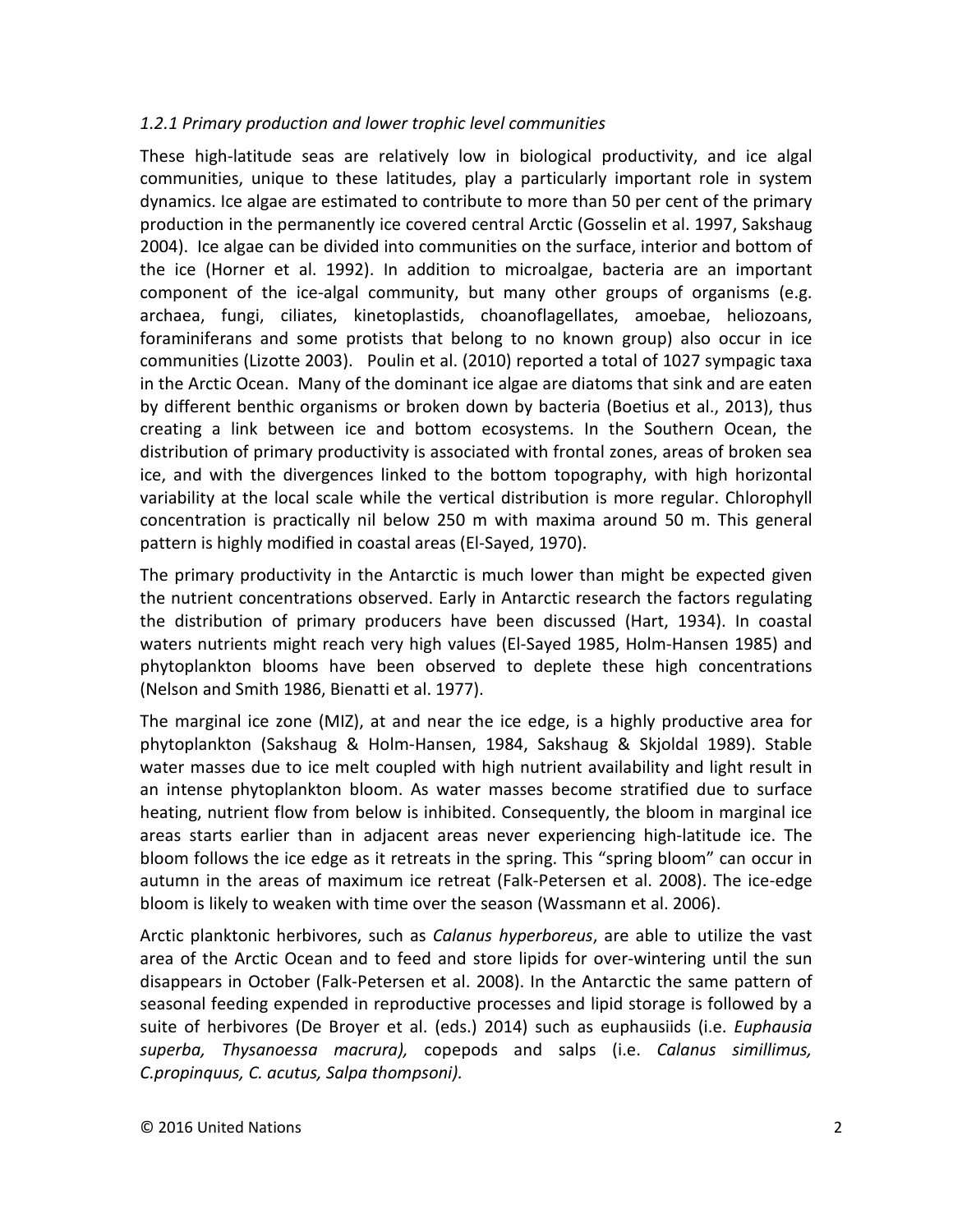#### *1.2.1 Primary production and lower trophic level communities*

These high-latitude seas are relatively low in biological productivity, and ice algal communities, unique to these latitudes, play a particularly important role in system dynamics. Ice algae are estimated to contribute to more than 50 per cent of the primary production in the permanently ice covered central Arctic (Gosselin et al. 1997, Sakshaug 2004). Ice algae can be divided into communities on the surface, interior and bottom of the ice (Horner et al. 1992). In addition to microalgae, bacteria are an important component of the ice-algal community, but many other groups of organisms (e.g. archaea, fungi, ciliates, kinetoplastids, choanoflagellates, amoebae, heliozoans, foraminiferans and some protists that belong to no known group) also occur in ice communities (Lizotte 2003). Poulin et al. (2010) reported a total of 1027 sympagic taxa in the Arctic Ocean. Many of the dominant ice algae are diatoms that sink and are eaten by different benthic organisms or broken down by bacteria (Boetius et al., 2013), thus creating a link between ice and bottom ecosystems. In the Southern Ocean, the distribution of primary productivity is associated with frontal zones, areas of broken sea ice, and with the divergences linked to the bottom topography, with high horizontal variability at the local scale while the vertical distribution is more regular. Chlorophyll concentration is practically nil below 250 m with maxima around 50 m. This general pattern is highly modified in coastal areas (El-Sayed, 1970).

The primary productivity in the Antarctic is much lower than might be expected given the nutrient concentrations observed. Early in Antarctic research the factors regulating the distribution of primary producers have been discussed (Hart, 1934). In coastal waters nutrients might reach very high values (El-Sayed 1985, Holm-Hansen 1985) and phytoplankton blooms have been observed to deplete these high concentrations (Nelson and Smith 1986, Bienatti et al. 1977).

The marginal ice zone (MIZ), at and near the ice edge, is a highly productive area for phytoplankton (Sakshaug & Holm-Hansen, 1984, Sakshaug & Skjoldal 1989). Stable water masses due to ice melt coupled with high nutrient availability and light result in an intense phytoplankton bloom. As water masses become stratified due to surface heating, nutrient flow from below is inhibited. Consequently, the bloom in marginal ice areas starts earlier than in adjacent areas never experiencing high-latitude ice. The bloom follows the ice edge as it retreats in the spring. This "spring bloom" can occur in autumn in the areas of maximum ice retreat (Falk-Petersen et al. 2008). The ice-edge bloom is likely to weaken with time over the season (Wassmann et al. 2006).

Arctic planktonic herbivores, such as *Calanus hyperboreus*, are able to utilize the vast area of the Arctic Ocean and to feed and store lipids for over-wintering until the sun disappears in October (Falk-Petersen et al. 2008). In the Antarctic the same pattern of seasonal feeding expended in reproductive processes and lipid storage is followed by a suite of herbivores (De Broyer et al. (eds.) 2014) such as euphausiids (i.e. *Euphausia superba, Thysanoessa macrura),* copepods and salps (i.e. *Calanus simillimus, C.propinquus, C. acutus, Salpa thompsoni).*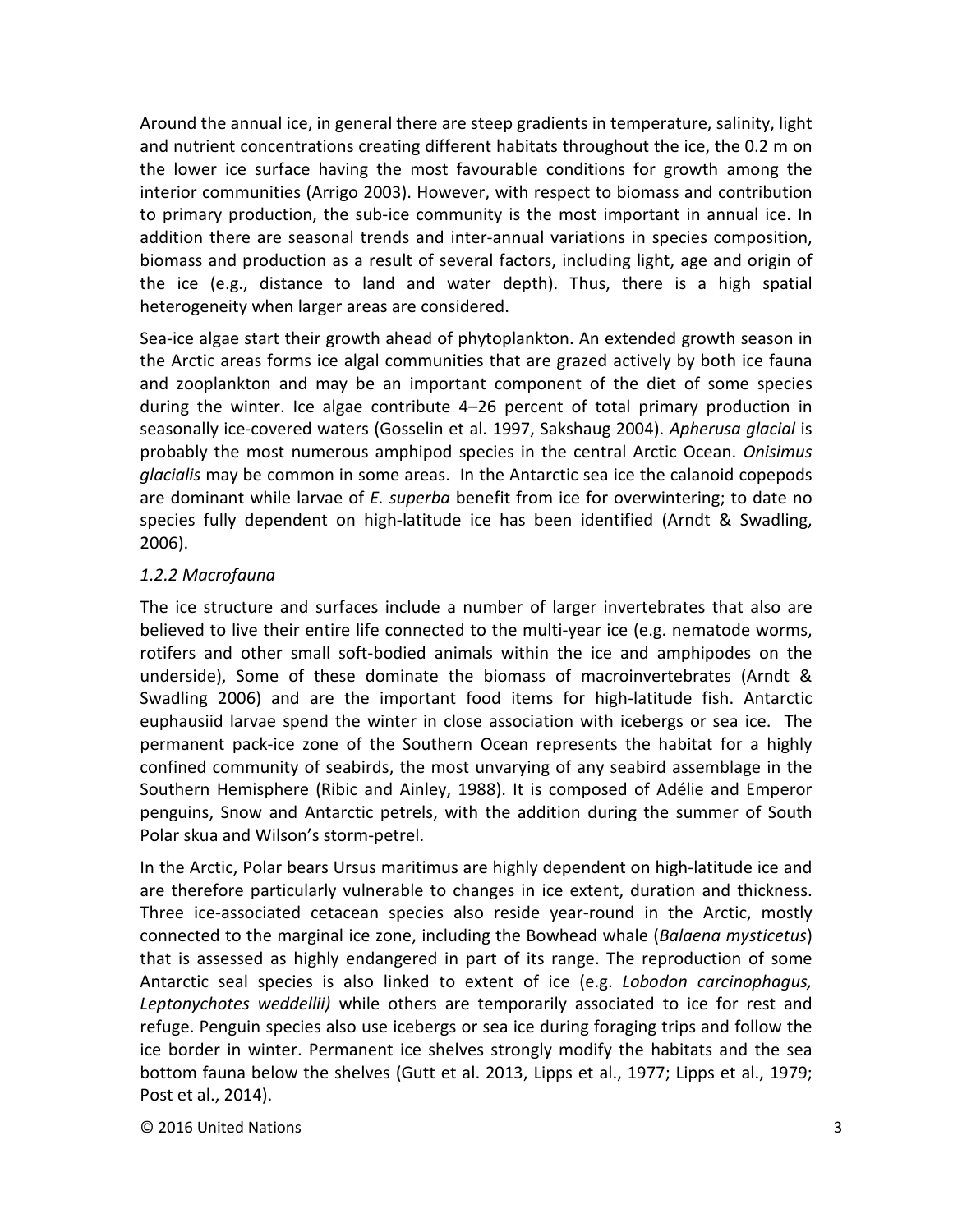Around the annual ice, in general there are steep gradients in temperature, salinity, light and nutrient concentrations creating different habitats throughout the ice, the 0.2 m on the lower ice surface having the most favourable conditions for growth among the interior communities (Arrigo 2003). However, with respect to biomass and contribution to primary production, the sub-ice community is the most important in annual ice. In addition there are seasonal trends and inter-annual variations in species composition, biomass and production as a result of several factors, including light, age and origin of the ice (e.g., distance to land and water depth). Thus, there is a high spatial heterogeneity when larger areas are considered.

Sea-ice algae start their growth ahead of phytoplankton. An extended growth season in the Arctic areas forms ice algal communities that are grazed actively by both ice fauna and zooplankton and may be an important component of the diet of some species during the winter. Ice algae contribute 4–26 percent of total primary production in seasonally ice-covered waters (Gosselin et al. 1997, Sakshaug 2004). *Apherusa glacial* is probably the most numerous amphipod species in the central Arctic Ocean. *Onisimus glacialis* may be common in some areas. In the Antarctic sea ice the calanoid copepods are dominant while larvae of *E. superba* benefit from ice for overwintering; to date no species fully dependent on high-latitude ice has been identified (Arndt & Swadling, 2006).

#### *1.2.2 Macrofauna*

The ice structure and surfaces include a number of larger invertebrates that also are believed to live their entire life connected to the multi-year ice (e.g. nematode worms, rotifers and other small soft-bodied animals within the ice and amphipodes on the underside), Some of these dominate the biomass of macroinvertebrates (Arndt & Swadling 2006) and are the important food items for high-latitude fish. Antarctic euphausiid larvae spend the winter in close association with icebergs or sea ice. The permanent pack-ice zone of the Southern Ocean represents the habitat for a highly confined community of seabirds, the most unvarying of any seabird assemblage in the Southern Hemisphere (Ribic and Ainley, 1988). It is composed of Adélie and Emperor penguins, Snow and Antarctic petrels, with the addition during the summer of South Polar skua and Wilson's storm-petrel.

In the Arctic, Polar bears Ursus maritimus are highly dependent on high-latitude ice and are therefore particularly vulnerable to changes in ice extent, duration and thickness. Three ice-associated cetacean species also reside year-round in the Arctic, mostly connected to the marginal ice zone, including the Bowhead whale (*Balaena mysticetus*) that is assessed as highly endangered in part of its range. The reproduction of some Antarctic seal species is also linked to extent of ice (e.g. *Lobodon carcinophagus, Leptonychotes weddellii)* while others are temporarily associated to ice for rest and refuge. Penguin species also use icebergs or sea ice during foraging trips and follow the ice border in winter. Permanent ice shelves strongly modify the habitats and the sea bottom fauna below the shelves (Gutt et al. 2013, Lipps et al., 1977; Lipps et al., 1979; Post et al., 2014).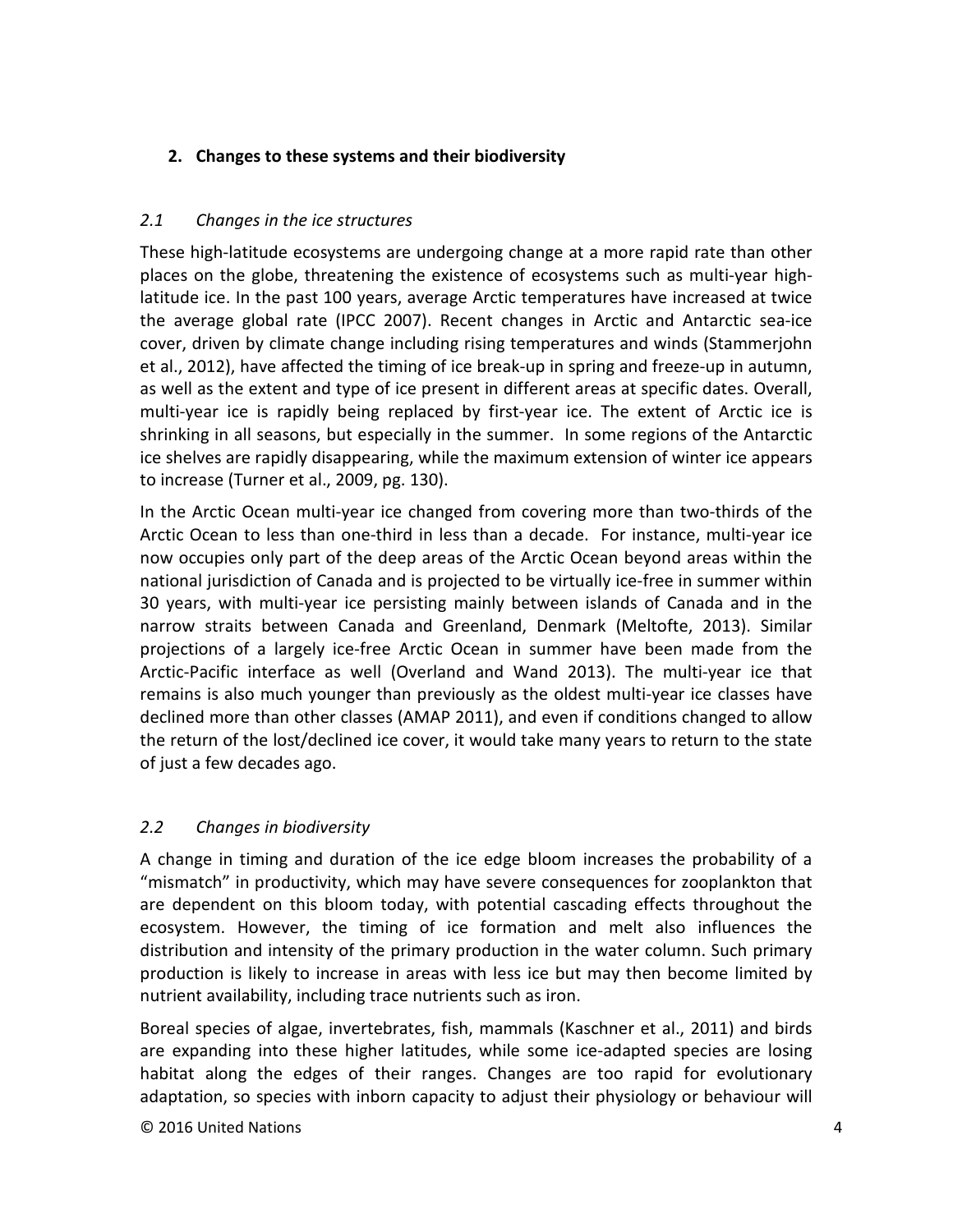# **2. Changes to these systems and their biodiversity**

# *2.1 Changes in the ice structures*

These high-latitude ecosystems are undergoing change at a more rapid rate than other places on the globe, threatening the existence of ecosystems such as multi-year highlatitude ice. In the past 100 years, average Arctic temperatures have increased at twice the average global rate (IPCC 2007). Recent changes in Arctic and Antarctic sea-ice cover, driven by climate change including rising temperatures and winds (Stammerjohn et al., 2012), have affected the timing of ice break-up in spring and freeze-up in autumn, as well as the extent and type of ice present in different areas at specific dates. Overall, multi-year ice is rapidly being replaced by first-year ice. The extent of Arctic ice is shrinking in all seasons, but especially in the summer. In some regions of the Antarctic ice shelves are rapidly disappearing, while the maximum extension of winter ice appears to increase (Turner et al., 2009, pg. 130).

In the Arctic Ocean multi-year ice changed from covering more than two-thirds of the Arctic Ocean to less than one-third in less than a decade. For instance, multi-year ice now occupies only part of the deep areas of the Arctic Ocean beyond areas within the national jurisdiction of Canada and is projected to be virtually ice-free in summer within 30 years, with multi-year ice persisting mainly between islands of Canada and in the narrow straits between Canada and Greenland, Denmark (Meltofte, 2013). Similar projections of a largely ice-free Arctic Ocean in summer have been made from the Arctic-Pacific interface as well (Overland and Wand 2013). The multi-year ice that remains is also much younger than previously as the oldest multi-year ice classes have declined more than other classes (AMAP 2011), and even if conditions changed to allow the return of the lost/declined ice cover, it would take many years to return to the state of just a few decades ago.

# *2.2 Changes in biodiversity*

A change in timing and duration of the ice edge bloom increases the probability of a "mismatch" in productivity, which may have severe consequences for zooplankton that are dependent on this bloom today, with potential cascading effects throughout the ecosystem. However, the timing of ice formation and melt also influences the distribution and intensity of the primary production in the water column. Such primary production is likely to increase in areas with less ice but may then become limited by nutrient availability, including trace nutrients such as iron.

Boreal species of algae, invertebrates, fish, mammals (Kaschner et al., 2011) and birds are expanding into these higher latitudes, while some ice-adapted species are losing habitat along the edges of their ranges. Changes are too rapid for evolutionary adaptation, so species with inborn capacity to adjust their physiology or behaviour will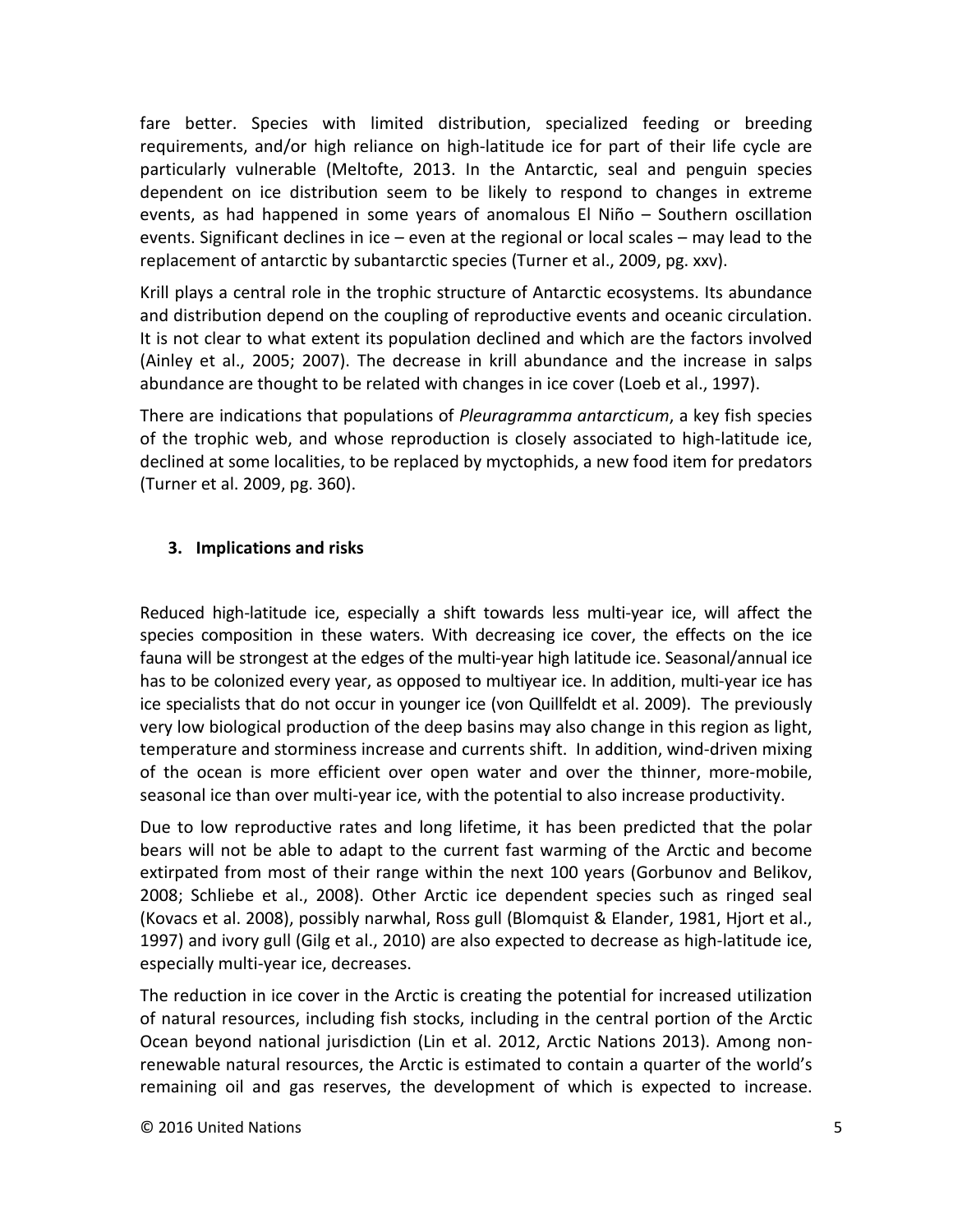fare better. Species with limited distribution, specialized feeding or breeding requirements, and/or high reliance on high-latitude ice for part of their life cycle are particularly vulnerable (Meltofte, 2013. In the Antarctic, seal and penguin species dependent on ice distribution seem to be likely to respond to changes in extreme events, as had happened in some years of anomalous El Niño – Southern oscillation events. Significant declines in ice – even at the regional or local scales – may lead to the replacement of antarctic by subantarctic species (Turner et al., 2009, pg. xxv).

Krill plays a central role in the trophic structure of Antarctic ecosystems. Its abundance and distribution depend on the coupling of reproductive events and oceanic circulation. It is not clear to what extent its population declined and which are the factors involved (Ainley et al., 2005; 2007). The decrease in krill abundance and the increase in salps abundance are thought to be related with changes in ice cover (Loeb et al., 1997).

There are indications that populations of *Pleuragramma antarcticum*, a key fish species of the trophic web, and whose reproduction is closely associated to high-latitude ice, declined at some localities, to be replaced by myctophids, a new food item for predators (Turner et al. 2009, pg. 360).

# **3. Implications and risks**

Reduced high-latitude ice, especially a shift towards less multi-year ice, will affect the species composition in these waters. With decreasing ice cover, the effects on the ice fauna will be strongest at the edges of the multi-year high latitude ice. Seasonal/annual ice has to be colonized every year, as opposed to multiyear ice. In addition, multi-year ice has ice specialists that do not occur in younger ice (von Quillfeldt et al. 2009). The previously very low biological production of the deep basins may also change in this region as light, temperature and storminess increase and currents shift. In addition, wind-driven mixing of the ocean is more efficient over open water and over the thinner, more-mobile, seasonal ice than over multi-year ice, with the potential to also increase productivity.

Due to low reproductive rates and long lifetime, it has been predicted that the polar bears will not be able to adapt to the current fast warming of the Arctic and become extirpated from most of their range within the next 100 years (Gorbunov and Belikov, 2008; Schliebe et al., 2008). Other Arctic ice dependent species such as ringed seal (Kovacs et al. 2008), possibly narwhal, Ross gull (Blomquist & Elander, 1981, Hjort et al., 1997) and ivory gull (Gilg et al., 2010) are also expected to decrease as high-latitude ice, especially multi-year ice, decreases.

The reduction in ice cover in the Arctic is creating the potential for increased utilization of natural resources, including fish stocks, including in the central portion of the Arctic Ocean beyond national jurisdiction (Lin et al. 2012, Arctic Nations 2013). Among nonrenewable natural resources, the Arctic is estimated to contain a quarter of the world's remaining oil and gas reserves, the development of which is expected to increase.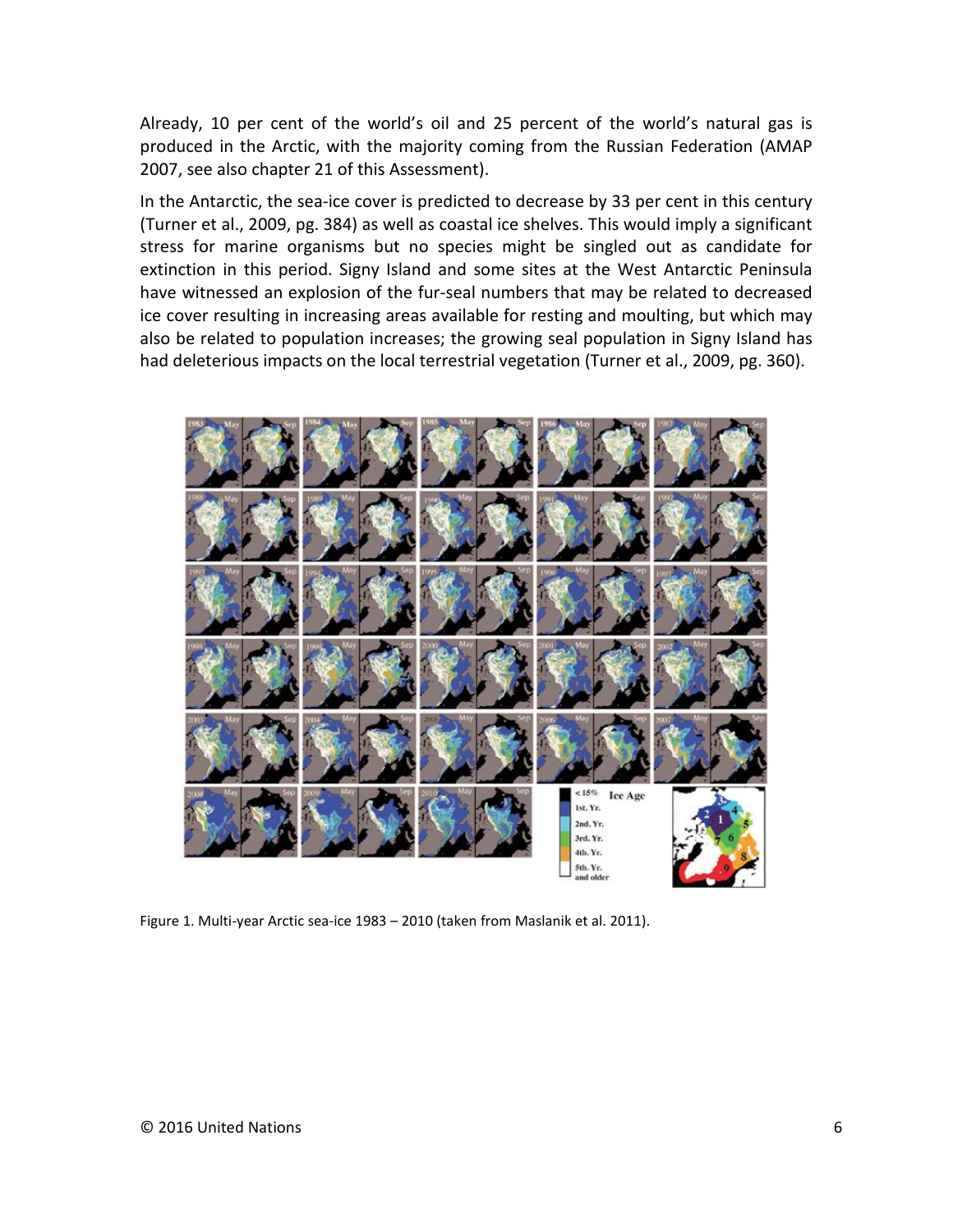Already, 10 per cent of the world's oil and 25 percent of the world's natural gas is produced in the Arctic, with the majority coming from the Russian Federation (AMAP 2007, see also chapter 21 of this Assessment).

In the Antarctic, the sea-ice cover is predicted to decrease by 33 per cent in this century (Turner et al., 2009, pg. 384) as well as coastal ice shelves. This would imply a significant stress for marine organisms but no species might be singled out as candidate for extinction in this period. Signy Island and some sites at the West Antarctic Peninsula have witnessed an explosion of the fur-seal numbers that may be related to decreased ice cover resulting in increasing areas available for resting and moulting, but which may also be related to population increases; the growing seal population in Signy Island has had deleterious impacts on the local terrestrial vegetation (Turner et al., 2009, pg. 360).



Figure 1. Multi-year Arctic sea-ice 1983 – 2010 (taken from Maslanik et al. 2011).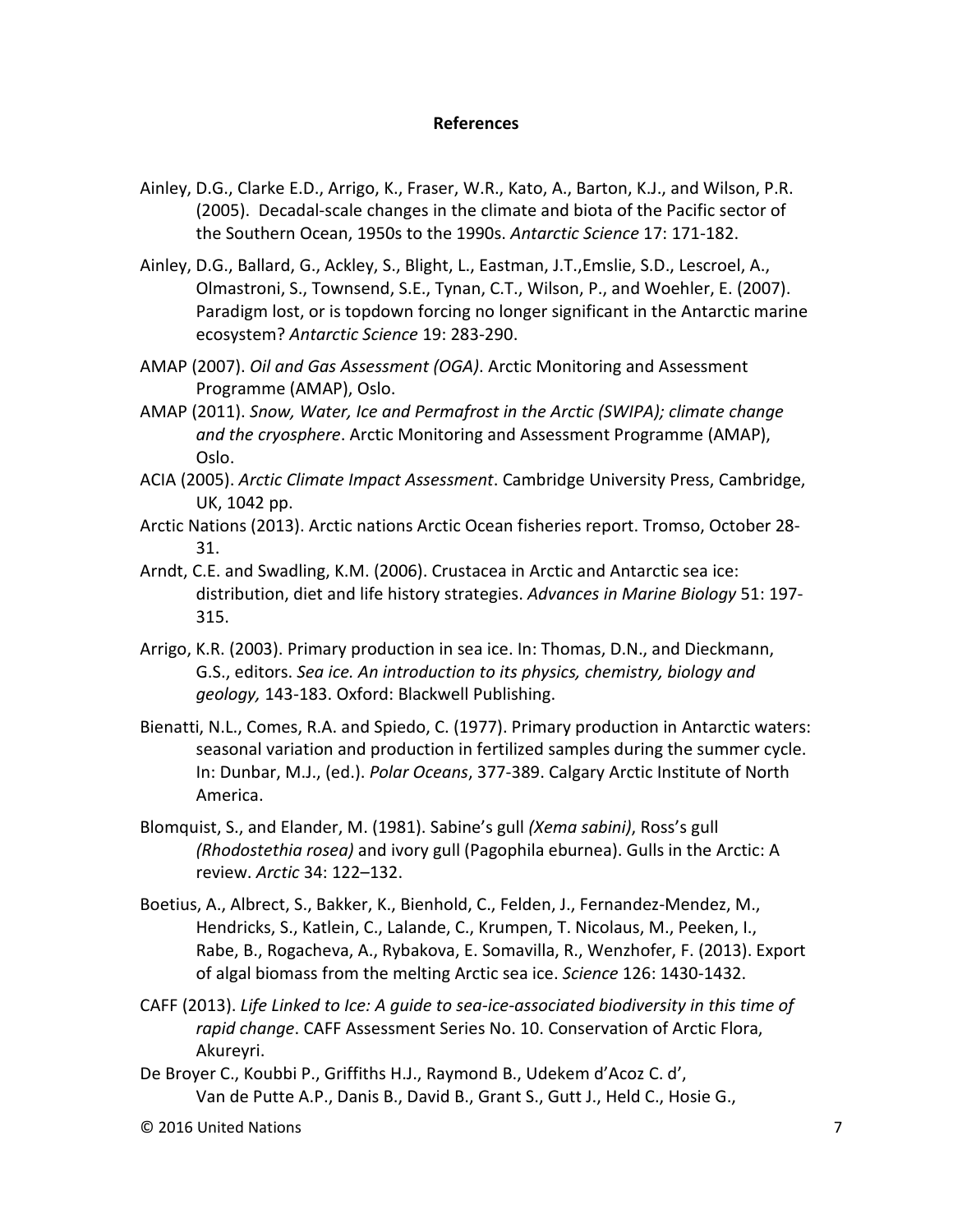#### **References**

- Ainley, D.G., Clarke E.D., Arrigo, K., Fraser, W.R., Kato, A., Barton, K.J., and Wilson, P.R. (2005). Decadal-scale changes in the climate and biota of the Pacific sector of the Southern Ocean, 1950s to the 1990s. *Antarctic Science* 17: 171-182.
- Ainley, D.G., Ballard, G., Ackley, S., Blight, L., Eastman, J.T.,Emslie, S.D., Lescroel, A., Olmastroni, S., Townsend, S.E., Tynan, C.T., Wilson, P., and Woehler, E. (2007). Paradigm lost, or is topdown forcing no longer significant in the Antarctic marine ecosystem? *Antarctic Science* 19: 283-290.
- AMAP (2007). *Oil and Gas Assessment (OGA)*. Arctic Monitoring and Assessment Programme (AMAP), Oslo.
- AMAP (2011). *Snow, Water, Ice and Permafrost in the Arctic (SWIPA); climate change and the cryosphere*. Arctic Monitoring and Assessment Programme (AMAP), Oslo.
- ACIA (2005). *Arctic Climate Impact Assessment*. Cambridge University Press, Cambridge, UK, 1042 pp.
- Arctic Nations (2013). [Arctic nations Arctic Ocean fisheries report.](https://web.sfos.uaf.edu/wordpress/arcticeis/?page_id=1636) Tromso, October 28- 31.
- Arndt, C.E. and Swadling, K.M. (2006). Crustacea in Arctic and Antarctic sea ice: distribution, diet and life history strategies. *Advances in Marine Biology* 51: 197- 315.
- Arrigo, K.R. (2003). Primary production in sea ice. In: Thomas, D.N., and Dieckmann, G.S., editors. *Sea ice. An introduction to its physics, chemistry, biology and geology,* 143-183. Oxford: Blackwell Publishing.
- Bienatti, N.L., Comes, R.A. and Spiedo, C. (1977). Primary production in Antarctic waters: seasonal variation and production in fertilized samples during the summer cycle. In: Dunbar, M.J., (ed.). *Polar Oceans*, 377-389. Calgary Arctic Institute of North America.
- Blomquist, S., and Elander, M. (1981). Sabine's gull *(Xema sabini)*, Ross's gull *(Rhodostethia rosea)* and ivory gull (Pagophila eburnea). Gulls in the Arctic: A review. *Arctic* 34: 122–132.
- Boetius, A., Albrect, S., Bakker, K., Bienhold, C., Felden, J., Fernandez-Mendez, M., Hendricks, S., Katlein, C., Lalande, C., Krumpen, T. Nicolaus, M., Peeken, I., Rabe, B., Rogacheva, A., Rybakova, E. Somavilla, R., Wenzhofer, F. (2013). Export of algal biomass from the melting Arctic sea ice. *Science* 126: 1430-1432.
- CAFF (2013). *Life Linked to Ice: A guide to sea-ice-associated biodiversity in this time of rapid change*. CAFF Assessment Series No. 10. Conservation of Arctic Flora, Akureyri.
- De Broyer C., Koubbi P., Griffiths H.J., Raymond B., Udekem d'Acoz C. d', Van de Putte A.P., Danis B., David B., Grant S., Gutt J., Held C., Hosie G.,

<sup>©</sup> 2016 United Nations 7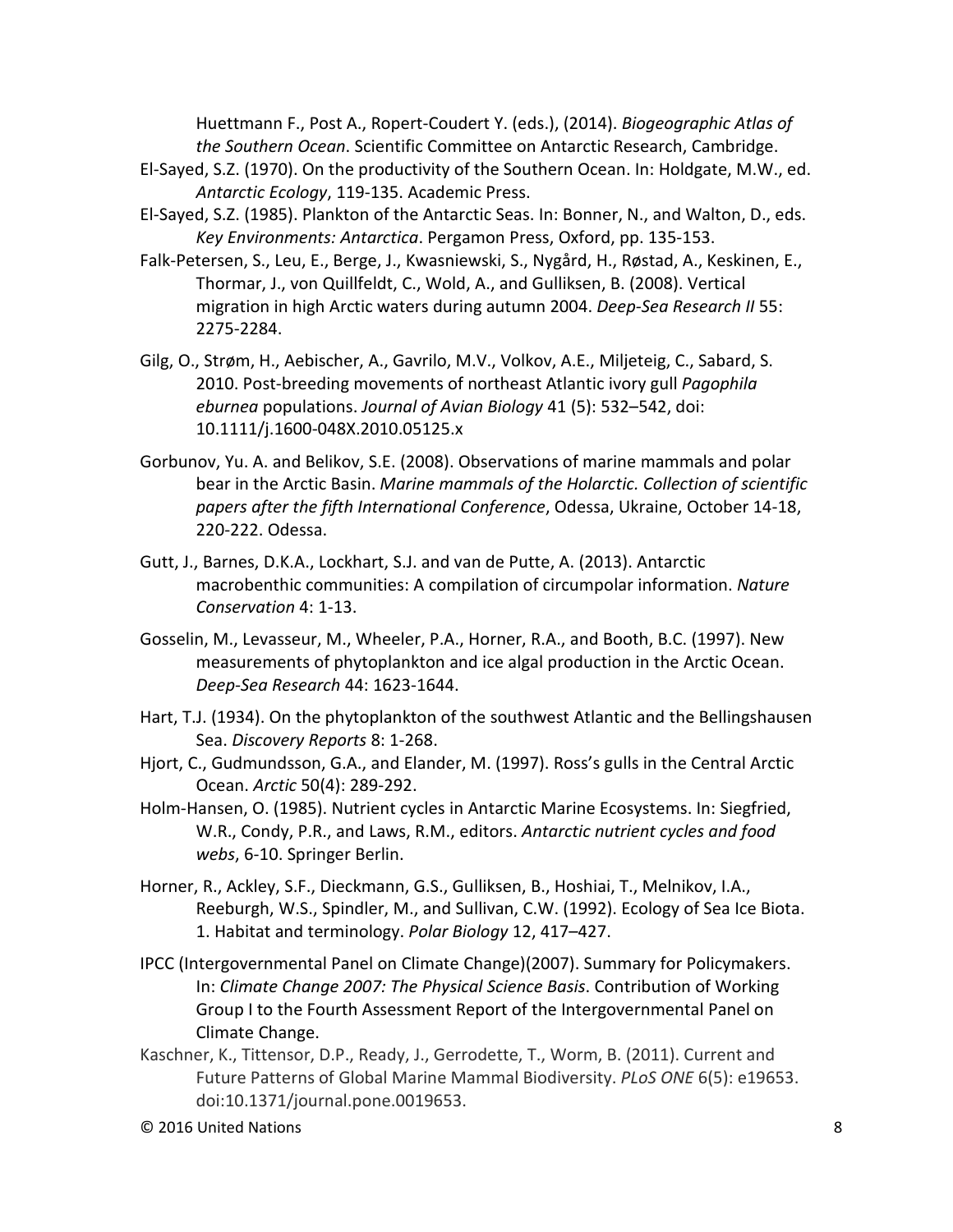Huettmann F., Post A., Ropert-Coudert Y. (eds.), (2014). *Biogeographic Atlas of the Southern Ocean*. Scientific Committee on Antarctic Research, Cambridge.

- El-Sayed, S.Z. (1970). On the productivity of the Southern Ocean. In: Holdgate, M.W., ed. *Antarctic Ecology*, 119-135. Academic Press.
- El-Sayed, S.Z. (1985). Plankton of the Antarctic Seas. In: Bonner, N., and Walton, D., eds. *Key Environments: Antarctica*. Pergamon Press, Oxford, pp. 135-153.
- Falk-Petersen, S., Leu, E., Berge, J., Kwasniewski, S., Nygård, H., Røstad, A., Keskinen, E., Thormar, J., von Quillfeldt, C., Wold, A., and Gulliksen, B. (2008). Vertical migration in high Arctic waters during autumn 2004. *Deep-Sea Research II* 55: 2275-2284.
- Gilg, O., Strøm, H., Aebischer, A., Gavrilo, M.V., Volkov, A.E., Miljeteig, C., Sabard, S. 2010. Post-breeding movements of northeast Atlantic ivory gull *Pagophila eburnea* populations. *Journal of Avian Biology* 41 (5): 532–542, doi: 10.1111/j.1600-048X.2010.05125.x
- Gorbunov, Yu. A. and Belikov, S.E. (2008). Observations of marine mammals and polar bear in the Arctic Basin. *Marine mammals of the Holarctic. Collection of scientific papers after the fifth International Conference*, Odessa, Ukraine, October 14-18, 220-222. Odessa.
- Gutt, J., Barnes, D.K.A., Lockhart, S.J. and van de Putte, A. (2013). Antarctic macrobenthic communities: A compilation of circumpolar information. *Nature Conservation* 4: 1-13.
- Gosselin, M., Levasseur, M., Wheeler, P.A., Horner, R.A., and Booth, B.C. (1997). New measurements of phytoplankton and ice algal production in the Arctic Ocean. *Deep-Sea Research* 44: 1623-1644.
- Hart, T.J. (1934). On the phytoplankton of the southwest Atlantic and the Bellingshausen Sea. *Discovery Reports* 8: 1-268.
- Hjort, C., Gudmundsson, G.A., and Elander, M. (1997). Ross's gulls in the Central Arctic Ocean. *Arctic* 50(4): 289-292.
- Holm-Hansen, O. (1985). Nutrient cycles in Antarctic Marine Ecosystems. In: Siegfried, W.R., Condy, P.R., and Laws, R.M., editors. *Antarctic nutrient cycles and food webs*, 6-10. Springer Berlin.
- Horner, R., Ackley, S.F., Dieckmann, G.S., Gulliksen, B., Hoshiai, T., Melnikov, I.A., Reeburgh, W.S., Spindler, M., and Sullivan, C.W. (1992). Ecology of Sea Ice Biota. 1. Habitat and terminology. *Polar Biology* 12, 417–427.
- IPCC (Intergovernmental Panel on Climate Change)(2007). Summary for Policymakers. In: *Climate Change 2007: The Physical Science Basis*. Contribution of Working Group I to the Fourth Assessment Report of the Intergovernmental Panel on Climate Change.
- Kaschner, K., Tittensor, D.P., Ready, J., Gerrodette, T., Worm, B. (2011). Current and Future Patterns of Global Marine Mammal Biodiversity. *PLoS ONE* 6(5): e19653. doi:10.1371/journal.pone.0019653.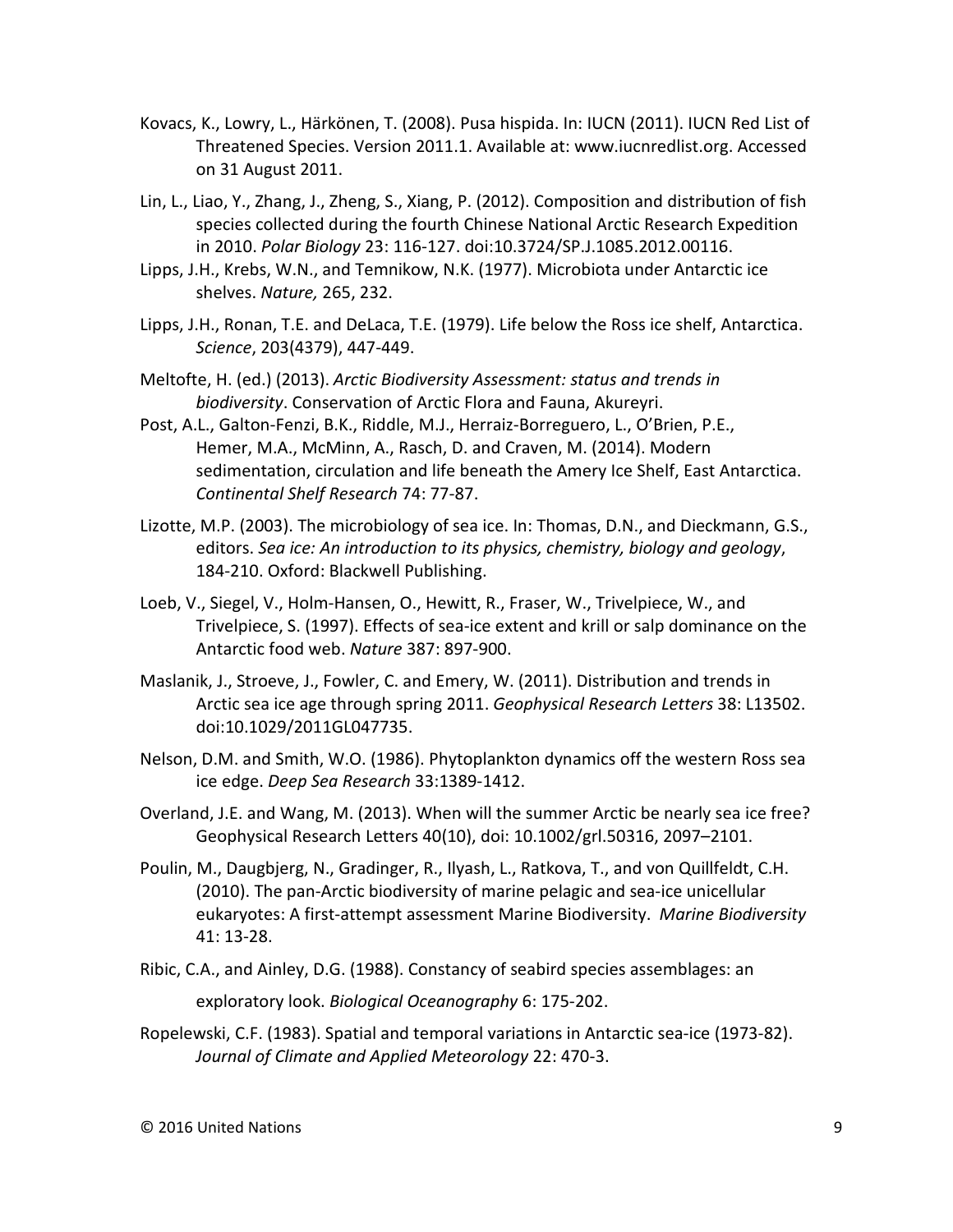- Kovacs, K., Lowry, L., Härkönen, T. (2008). Pusa hispida. In: IUCN (2011). IUCN Red List of Threatened Species. Version 2011.1. Available at: www.iucnredlist.org. Accessed on 31 August 2011.
- Lin, L., Liao, Y., Zhang, J., Zheng, S., Xiang, P. (2012). Composition and distribution of fish species collected during the fourth Chinese National Arctic Research Expedition in 2010. *Polar Biology* 23: 116-127. doi:10.3724/SP.J.1085.2012.00116.
- Lipps, J.H., Krebs, W.N., and Temnikow, N.K. (1977). Microbiota under Antarctic ice shelves. *Nature,* 265, 232.
- Lipps, J.H., Ronan, T.E. and DeLaca, T.E. (1979). Life below the Ross ice shelf, Antarctica. *Science*, 203(4379), 447-449.
- Meltofte, H. (ed.) (2013). *Arctic Biodiversity Assessment: status and trends in biodiversity*. Conservation of Arctic Flora and Fauna, Akureyri.
- Post, A.L., Galton-Fenzi, B.K., Riddle, M.J., Herraiz-Borreguero, L., O'Brien, P.E., Hemer, M.A., McMinn, A., Rasch, D. and Craven, M. (2014). Modern sedimentation, circulation and life beneath the Amery Ice Shelf, East Antarctica. *Continental Shelf Research* 74: 77-87.
- Lizotte, M.P. (2003). The microbiology of sea ice. In: Thomas, D.N., and Dieckmann, G.S., editors. *Sea ice: An introduction to its physics, chemistry, biology and geology*, 184-210. Oxford: Blackwell Publishing.
- Loeb, V., Siegel, V., Holm-Hansen, O., Hewitt, R., Fraser, W., Trivelpiece, W., and Trivelpiece, S. (1997). Effects of sea-ice extent and krill or salp dominance on the Antarctic food web. *Nature* 387: 897-900.
- Maslanik, J., Stroeve, J., Fowler, C. and Emery, W. (2011). Distribution and trends in Arctic sea ice age through spring 2011. *Geophysical Research Letters* 38: L13502. doi:10.1029/2011GL047735.
- Nelson, D.M. and Smith, W.O. (1986). Phytoplankton dynamics off the western Ross sea ice edge. *Deep Sea Research* 33:1389-1412.
- Overland, J.E. and Wang, M. (2013). When will the summer Arctic be nearly sea ice free? Geophysical Research Letters 40(10), doi: 10.1002/grl.50316, 2097–2101.
- Poulin, M., Daugbjerg, N., Gradinger, R., Ilyash, L., Ratkova, T., and von Quillfeldt, C.H. (2010). The pan-Arctic biodiversity of marine pelagic and sea-ice unicellular eukaryotes: A first-attempt assessment Marine Biodiversity. *Marine Biodiversity*  41: 13-28.
- Ribic, C.A., and Ainley, D.G. (1988). Constancy of seabird species assemblages: an exploratory look. *Biological Oceanography* 6: 175-202.
- Ropelewski, C.F. (1983). Spatial and temporal variations in Antarctic sea-ice (1973-82). *Journal of Climate and Applied Meteorology* 22: 470-3.